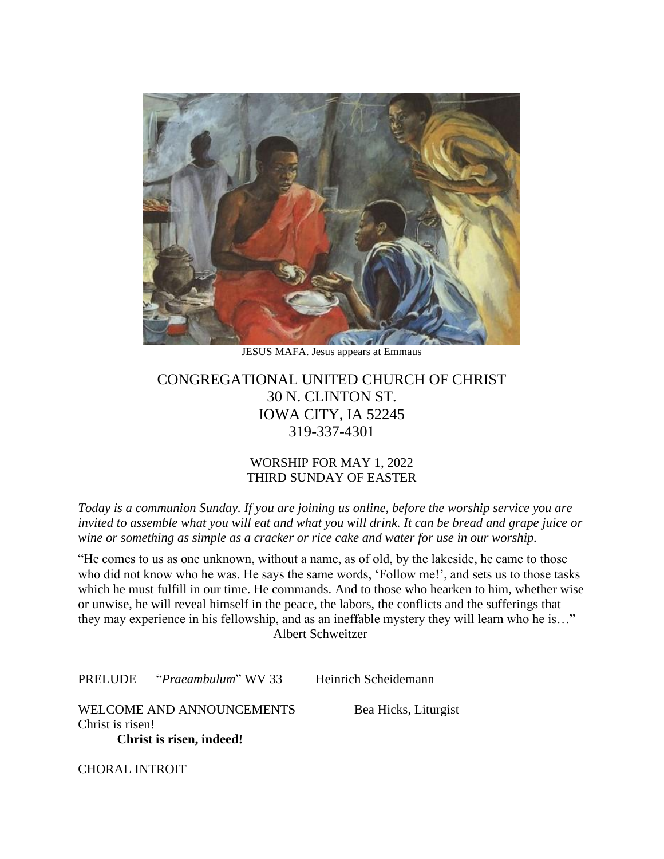

JESUS MAFA. Jesus appears at Emmaus

# CONGREGATIONAL UNITED CHURCH OF CHRIST 30 N. CLINTON ST. IOWA CITY, IA 52245 319-337-4301

## WORSHIP FOR MAY 1, 2022 THIRD SUNDAY OF EASTER

*Today is a communion Sunday. If you are joining us online, before the worship service you are invited to assemble what you will eat and what you will drink. It can be bread and grape juice or wine or something as simple as a cracker or rice cake and water for use in our worship.* 

"He comes to us as one unknown, without a name, as of old, by the lakeside, he came to those who did not know who he was. He says the same words, 'Follow me!', and sets us to those tasks which he must fulfill in our time. He commands. And to those who hearken to him, whether wise or unwise, he will reveal himself in the peace, the labors, the conflicts and the sufferings that they may experience in his fellowship, and as an ineffable mystery they will learn who he is…" Albert Schweitzer

PRELUDE "*Praeambulum*" WV 33 Heinrich Scheidemann

WELCOME AND ANNOUNCEMENTS Bea Hicks, Liturgist Christ is risen! **Christ is risen, indeed!**

CHORAL INTROIT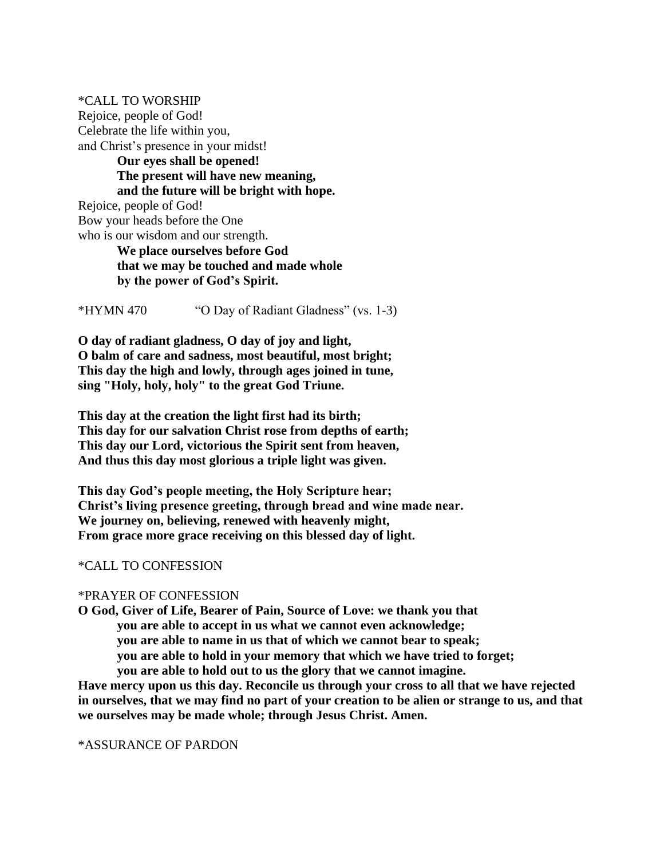\*CALL TO WORSHIP Rejoice, people of God! Celebrate the life within you, and Christ's presence in your midst! **Our eyes shall be opened! The present will have new meaning, and the future will be bright with hope.** Rejoice, people of God!

Bow your heads before the One who is our wisdom and our strength.

**We place ourselves before God that we may be touched and made whole by the power of God's Spirit.**

\*HYMN 470 "O Day of Radiant Gladness" (vs. 1-3)

**O day of radiant gladness, O day of joy and light, O balm of care and sadness, most beautiful, most bright; This day the high and lowly, through ages joined in tune, sing "Holy, holy, holy" to the great God Triune.**

**This day at the creation the light first had its birth; This day for our salvation Christ rose from depths of earth; This day our Lord, victorious the Spirit sent from heaven, And thus this day most glorious a triple light was given.**

**This day God's people meeting, the Holy Scripture hear; Christ's living presence greeting, through bread and wine made near. We journey on, believing, renewed with heavenly might, From grace more grace receiving on this blessed day of light.**

# \*CALL TO CONFESSION

# \*PRAYER OF CONFESSION

**O God, Giver of Life, Bearer of Pain, Source of Love: we thank you that you are able to accept in us what we cannot even acknowledge; you are able to name in us that of which we cannot bear to speak; you are able to hold in your memory that which we have tried to forget; you are able to hold out to us the glory that we cannot imagine.**

**Have mercy upon us this day. Reconcile us through your cross to all that we have rejected in ourselves, that we may find no part of your creation to be alien or strange to us, and that we ourselves may be made whole; through Jesus Christ. Amen.**

# \*ASSURANCE OF PARDON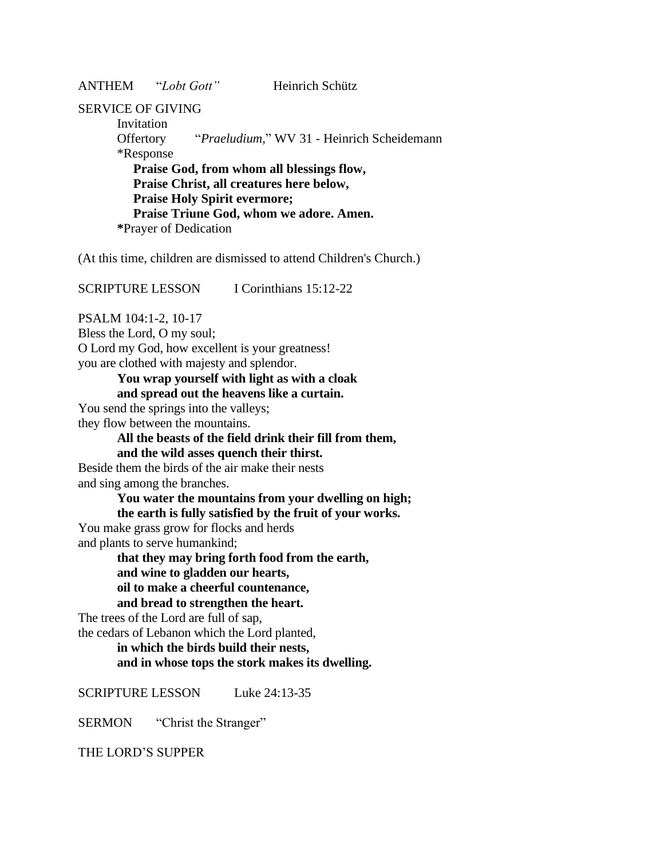ANTHEM "*Lobt Gott"* Heinrich Schütz

### SERVICE OF GIVING

Invitation Offertory "*Praeludium,*" WV 31 - Heinrich Scheidemann \*Response **Praise God, from whom all blessings flow, Praise Christ, all creatures here below, Praise Holy Spirit evermore; Praise Triune God, whom we adore. Amen. \***Prayer of Dedication

(At this time, children are dismissed to attend Children's Church.)

SCRIPTURE LESSON I Corinthians 15:12-22

PSALM 104:1-2, 10-17

Bless the Lord, O my soul;

O Lord my God, how excellent is your greatness!

you are clothed with majesty and splendor.

# **You wrap yourself with light as with a cloak**

**and spread out the heavens like a curtain.**

You send the springs into the valleys;

they flow between the mountains.

## **All the beasts of the field drink their fill from them, and the wild asses quench their thirst.**

Beside them the birds of the air make their nests and sing among the branches.

> **You water the mountains from your dwelling on high; the earth is fully satisfied by the fruit of your works.**

You make grass grow for flocks and herds and plants to serve humankind;

**that they may bring forth food from the earth, and wine to gladden our hearts, oil to make a cheerful countenance, and bread to strengthen the heart.**

The trees of the Lord are full of sap, the cedars of Lebanon which the Lord planted,

> **in which the birds build their nests, and in whose tops the stork makes its dwelling.**

SCRIPTURE LESSON Luke 24:13-35

SERMON "Christ the Stranger"

THE LORD'S SUPPER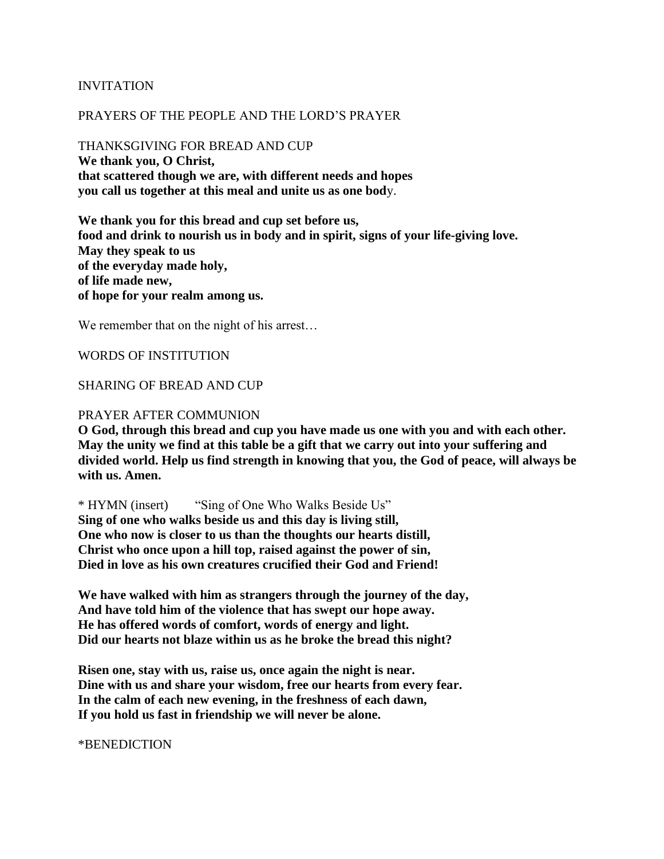### INVITATION

### PRAYERS OF THE PEOPLE AND THE LORD'S PRAYER

THANKSGIVING FOR BREAD AND CUP **We thank you, O Christ, that scattered though we are, with different needs and hopes you call us together at this meal and unite us as one bod**y.

**We thank you for this bread and cup set before us, food and drink to nourish us in body and in spirit, signs of your life-giving love. May they speak to us of the everyday made holy, of life made new, of hope for your realm among us.**

We remember that on the night of his arrest...

#### WORDS OF INSTITUTION

#### SHARING OF BREAD AND CUP

#### PRAYER AFTER COMMUNION

**O God, through this bread and cup you have made us one with you and with each other. May the unity we find at this table be a gift that we carry out into your suffering and divided world. Help us find strength in knowing that you, the God of peace, will always be with us. Amen.**

\* HYMN (insert) "Sing of One Who Walks Beside Us"

**Sing of one who walks beside us and this day is living still, One who now is closer to us than the thoughts our hearts distill, Christ who once upon a hill top, raised against the power of sin, Died in love as his own creatures crucified their God and Friend!** 

**We have walked with him as strangers through the journey of the day, And have told him of the violence that has swept our hope away. He has offered words of comfort, words of energy and light. Did our hearts not blaze within us as he broke the bread this night?** 

**Risen one, stay with us, raise us, once again the night is near. Dine with us and share your wisdom, free our hearts from every fear. In the calm of each new evening, in the freshness of each dawn, If you hold us fast in friendship we will never be alone.**

\*BENEDICTION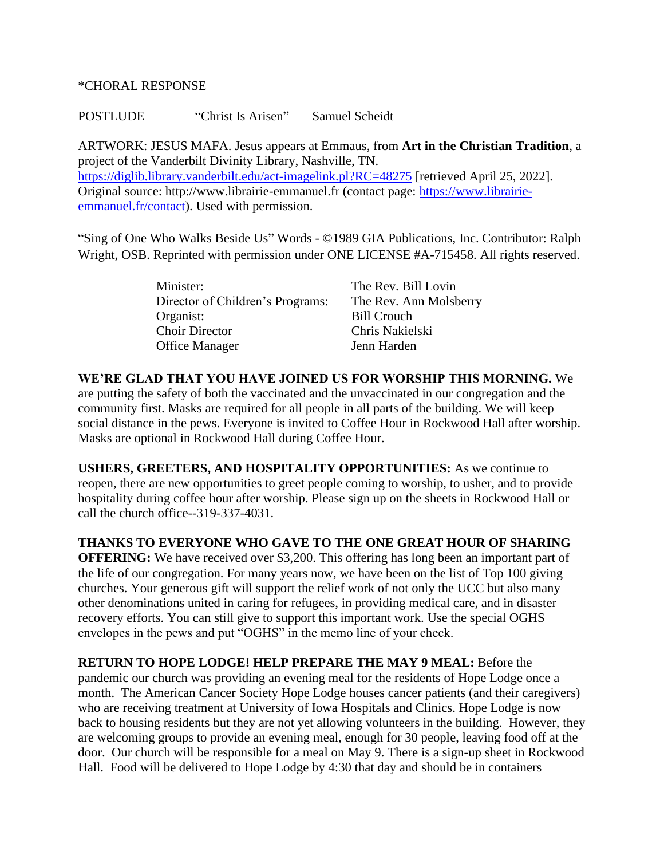### \*CHORAL RESPONSE

POSTLUDE "Christ Is Arisen" Samuel Scheidt

ARTWORK: JESUS MAFA. Jesus appears at Emmaus, from **Art in the Christian Tradition**, a project of the Vanderbilt Divinity Library, Nashville, TN. <https://diglib.library.vanderbilt.edu/act-imagelink.pl?RC=48275> [retrieved April 25, 2022]. Original source: http://www.librairie-emmanuel.fr (contact page: [https://www.librairie](https://www.librairie-emmanuel.fr/contact)[emmanuel.fr/contact\)](https://www.librairie-emmanuel.fr/contact). Used with permission.

"Sing of One Who Walks Beside Us" Words - ©1989 GIA Publications, Inc. Contributor: Ralph Wright, OSB. Reprinted with permission under ONE LICENSE #A-715458. All rights reserved.

| Minister:                        | The Rev. Bill Lovin    |
|----------------------------------|------------------------|
| Director of Children's Programs: | The Rev. Ann Molsberry |
| Organist:                        | <b>Bill Crouch</b>     |
| <b>Choir Director</b>            | Chris Nakielski        |
| <b>Office Manager</b>            | Jenn Harden            |

**WE'RE GLAD THAT YOU HAVE JOINED US FOR WORSHIP THIS MORNING.** We are putting the safety of both the vaccinated and the unvaccinated in our congregation and the community first. Masks are required for all people in all parts of the building. We will keep social distance in the pews. Everyone is invited to Coffee Hour in Rockwood Hall after worship. Masks are optional in Rockwood Hall during Coffee Hour.

**USHERS, GREETERS, AND HOSPITALITY OPPORTUNITIES:** As we continue to reopen, there are new opportunities to greet people coming to worship, to usher, and to provide hospitality during coffee hour after worship. Please sign up on the sheets in Rockwood Hall or call the church office--319-337-4031.

**THANKS TO EVERYONE WHO GAVE TO THE ONE GREAT HOUR OF SHARING OFFERING:** We have received over \$3,200. This offering has long been an important part of the life of our congregation. For many years now, we have been on the list of Top 100 giving churches. Your generous gift will support the relief work of not only the UCC but also many other denominations united in caring for refugees, in providing medical care, and in disaster recovery efforts. You can still give to support this important work. Use the special OGHS envelopes in the pews and put "OGHS" in the memo line of your check.

**RETURN TO HOPE LODGE! HELP PREPARE THE MAY 9 MEAL:** Before the pandemic our church was providing an evening meal for the residents of Hope Lodge once a month. The American Cancer Society Hope Lodge houses cancer patients (and their caregivers) who are receiving treatment at University of Iowa Hospitals and Clinics. Hope Lodge is now back to housing residents but they are not yet allowing volunteers in the building. However, they are welcoming groups to provide an evening meal, enough for 30 people, leaving food off at the door. Our church will be responsible for a meal on May 9. There is a sign-up sheet in Rockwood Hall. Food will be delivered to Hope Lodge by 4:30 that day and should be in containers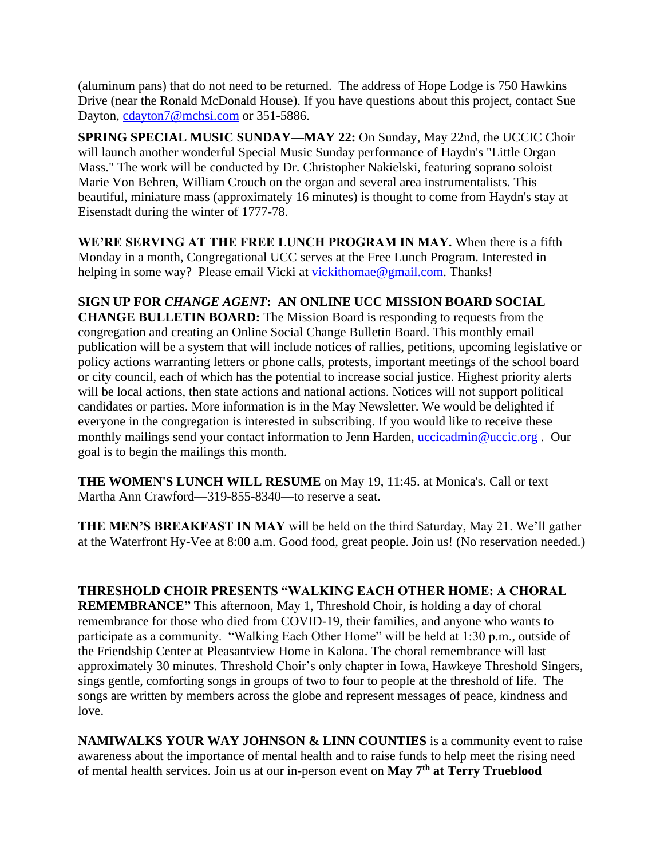(aluminum pans) that do not need to be returned. The address of Hope Lodge is 750 Hawkins Drive (near the Ronald McDonald House). If you have questions about this project, contact Sue Dayton, [cdayton7@mchsi.com](mailto:cdayton7@mchsi.com) or 351-5886.

**SPRING SPECIAL MUSIC SUNDAY—MAY 22:** On Sunday, May 22nd, the UCCIC Choir will launch another wonderful Special Music Sunday performance of Haydn's "Little Organ Mass." The work will be conducted by Dr. Christopher Nakielski, featuring soprano soloist Marie Von Behren, William Crouch on the organ and several area instrumentalists. This beautiful, miniature mass (approximately 16 minutes) is thought to come from Haydn's stay at Eisenstadt during the winter of 1777-78.

**WE'RE SERVING AT THE FREE LUNCH PROGRAM IN MAY.** When there is a fifth Monday in a month, Congregational UCC serves at the Free Lunch Program. Interested in helping in some way? Please email Vicki at [vickithomae@gmail.com.](javascript:void(0);) Thanks!

**SIGN UP FOR** *CHANGE AGENT***: AN ONLINE UCC MISSION BOARD SOCIAL CHANGE BULLETIN BOARD:** The Mission Board is responding to requests from the congregation and creating an Online Social Change Bulletin Board. This monthly email publication will be a system that will include notices of rallies, petitions, upcoming legislative or policy actions warranting letters or phone calls, protests, important meetings of the school board or city council, each of which has the potential to increase social justice. Highest priority alerts will be local actions, then state actions and national actions. Notices will not support political candidates or parties. More information is in the May Newsletter. We would be delighted if everyone in the congregation is interested in subscribing. If you would like to receive these monthly mailings send your contact information to Jenn Harden, [uccicadmin@uccic.org](javascript:void(0);). Our goal is to begin the mailings this month.

**THE WOMEN'S LUNCH WILL RESUME** on May 19, 11:45. at Monica's. Call or text Martha Ann Crawford—319-855-8340—to reserve a seat.

**THE MEN'S BREAKFAST IN MAY** will be held on the third Saturday, May 21. We'll gather at the Waterfront Hy-Vee at 8:00 a.m. Good food, great people. Join us! (No reservation needed.)

**THRESHOLD CHOIR PRESENTS "WALKING EACH OTHER HOME: A CHORAL REMEMBRANCE"** This afternoon, May 1, Threshold Choir, is holding a day of choral remembrance for those who died from COVID-19, their families, and anyone who wants to participate as a community. "Walking Each Other Home" will be held at 1:30 p.m., outside of the Friendship Center at Pleasantview Home in Kalona. The choral remembrance will last approximately 30 minutes. Threshold Choir's only chapter in Iowa, Hawkeye Threshold Singers, sings gentle, comforting songs in groups of two to four to people at the threshold of life. The songs are written by members across the globe and represent messages of peace, kindness and

**NAMIWALKS YOUR WAY JOHNSON & LINN COUNTIES** is a community event to raise awareness about the importance of mental health and to raise funds to help meet the rising need of mental health services. Join us at our in-person event on **May 7th at Terry Trueblood** 

love.